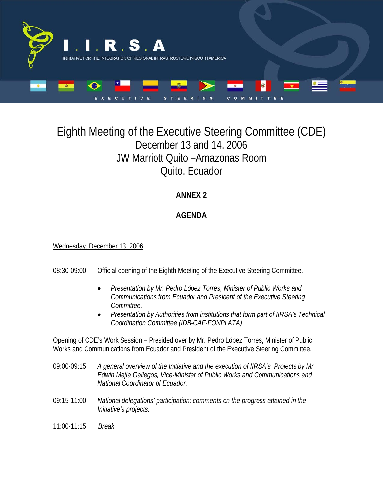

# Eighth Meeting of the Executive Steering Committee (CDE) December 13 and 14, 2006 JW Marriott Quito –Amazonas Room Quito, Ecuador

# **ANNEX 2**

## **AGENDA**

### Wednesday, December 13, 2006

- 08:30-09:00 Official opening of the Eighth Meeting of the Executive Steering Committee.
	- *Presentation by Mr. Pedro López Torres, Minister of Public Works and Communications from Ecuador and President of the Executive Steering Committee.*
	- *Presentation by Authorities from institutions that form part of IIRSA's Technical Coordination Committee (IDB-CAF-FONPLATA)*

Opening of CDE's Work Session – Presided over by Mr. Pedro López Torres, Minister of Public Works and Communications from Ecuador and President of the Executive Steering Committee.

- 09:00-09:15 *A general overview of the Initiative and the execution of IIRSA's Projects by Mr. Edwin Mejía Gallegos, Vice-Minister of Public Works and Communications and National Coordinator of Ecuador.*
- 09:15-11:00 *National delegations' participation: comments on the progress attained in the Initiative's projects.*
- 11:00-11:15 *Break*